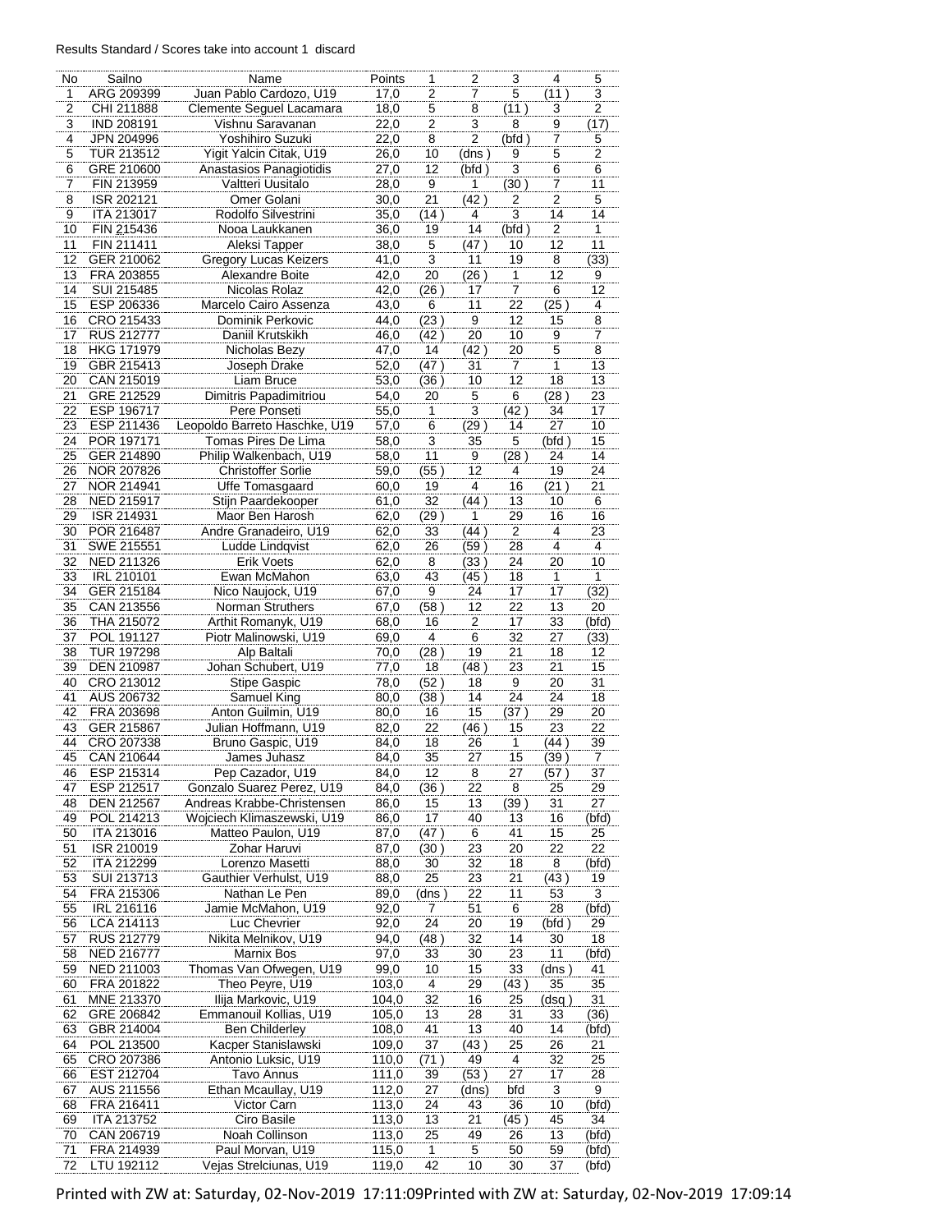## Results Standard / Scores take into account 1 discard

| No                           | Sailno                          | Name                                                     | Points         | 1                   | 2              | 3                         | 4                       | 5           |
|------------------------------|---------------------------------|----------------------------------------------------------|----------------|---------------------|----------------|---------------------------|-------------------------|-------------|
| 1<br>$\overline{\mathbf{c}}$ | ARG 209399<br>CHI 211888        | Juan Pablo Cardozo, U19<br>Clemente Seguel Lacamara      | 17,0<br>18,0   | $\overline{2}$<br>5 | 7<br>8         | $\overline{5}$<br>(11)    | (11)<br>3               | 3<br>2      |
| 3                            | <b>IND 208191</b>               | Vishnu Saravanan                                         | 22,0           | 2                   | 3              | 8                         | 9                       | (17)        |
| 4                            | JPN 204996                      | Yoshihiro Suzuki                                         | 22,0           | 8                   | $\overline{2}$ | (bfd)                     | 7                       | 5           |
| 5                            | TUR 213512                      | Yigit Yalcin Citak, U19                                  | 26,0           | 10                  | (dns )         | 9                         | 5                       | 2           |
| 6<br>7                       | GRE 210600<br>FIN 213959        | Anastasios Panagiotidis<br>Valtteri Uusitalo             | 27,0<br>28,0   | 12<br>9             | (bfd)<br>1     | $\overline{3}$<br>(30)    | 6<br>7                  | 6<br>11     |
| 8                            | ISR 202121                      | Omer Golani                                              | 30,0           | 21                  | (42)           | 2                         | 2                       | 5           |
| 9                            | ITA 213017                      | Rodolfo Silvestrini                                      | 35,0           | (14)                | 4              | $\overline{\overline{3}}$ | 14                      | 14          |
| 10                           | FIN 215436                      | Nooa Laukkanen                                           | 36,0           | 19                  | 14             | (bfd)                     | $\overline{\mathbf{c}}$ | 1           |
| 11                           | FIN 211411                      | Aleksi Tapper                                            | 38,0           | 5                   | (47 )          | 10                        | 12                      | 11          |
| 12                           | GER 210062                      | <b>Gregory Lucas Keizers</b>                             | 41,0           | 3                   | 11             | 19                        | 8                       | (33)        |
| 13<br>14                     | FRA 203855<br>SUI 215485        | Alexandre Boite<br>Nicolas Rolaz                         | 42,0<br>42,0   | 20                  | (26)<br>17     | 1<br>7                    | 12<br>6                 | 9<br>12     |
| 15                           | ESP 206336                      | Marcelo Cairo Assenza                                    | 43,0           | (26)<br>6           | 11             | 22                        | (25)                    | 4           |
| 16                           | CRO 215433                      | Dominik Perkovic                                         | 44,0           | (23)                | 9              | 12                        | 15                      | 8           |
| 17                           | <b>RUS 212777</b>               | Daniil Krutskikh                                         | 46,0           | (42)                | 20             | 10                        | 9                       | 7           |
| 18                           | <b>HKG 171979</b>               | Nicholas Bezy                                            | 47,0           | 14                  | (42)           | 20                        | 5                       | 8           |
| 19                           | GBR 215413                      | Joseph Drake                                             | 52,0           | (47)                | 31             | 7                         | 1                       | 13          |
| 20<br>21                     | CAN 215019<br>GRE 212529        | Liam Bruce<br>Dimitris Papadimitriou                     | 53,0<br>54,0   | (36)<br>20          | 10<br>5        | 12<br>6                   | 18<br>(28)              | 13<br>23    |
| 22                           | ESP 196717                      | Pere Ponseti                                             | 55,0           | 1                   | $\overline{3}$ | (42)                      | 34                      | 17          |
| 23                           | ESP 211436                      | Leopoldo Barreto Haschke, U19                            | 57,0           | 6                   | (29)           | 14                        | 27                      | 10          |
| 24                           | POR 197171                      | Tomas Pires De Lima                                      | 58,0           | 3                   | 35             | 5                         | (bfd)                   | 15          |
| 25                           | GER 214890                      | Philip Walkenbach, U19                                   | 58,0           | 11                  | 9              | (28)                      | 24                      | 14          |
| 26                           | NOR 207826                      | <b>Christoffer Sorlie</b>                                | 59,0           | (55)                | 12             | 4                         | 19                      | 24          |
| 27<br>28                     | NOR 214941<br><b>NED 215917</b> | Uffe Tomasgaard<br>Stijn Paardekooper                    | 60,0<br>61,0   | 19<br>32            | 4<br>(44)      | 16<br>13                  | (21)<br>10              | 21<br>6     |
| 29                           | ISR 214931                      | Maor Ben Harosh                                          | 62,0           | (29)                | 1              | 29                        | 16                      | 16          |
| 30                           | POR 216487                      | Andre Granadeiro, U19                                    | 62,0           | 33                  | (44)           | $\overline{\mathbf{c}}$   | 4                       | 23          |
| 31                           | SWE 215551                      | Ludde Lindqvist                                          | 62,0           | 26                  | (59 )          | 28                        | 4                       | 4           |
| 32                           | NED 211326                      | Erik Voets                                               | 62,0           | 8                   | (33)           | 24                        | 20                      | 10          |
| 33                           | <b>IRL 210101</b>               | Ewan McMahon                                             | 63,0           | 43                  | (45)           | 18                        | 1                       | 1           |
| 34<br>35                     | GER 215184<br>CAN 213556        | Nico Naujock, U19                                        | 67,0           | 9<br>(58)           | 24<br>12       | 17<br>22                  | 17<br>13                | (32)        |
| 36                           | THA 215072                      | Norman Struthers<br>Arthit Romanyk, U19                  | 67,0<br>68,0   | 16                  | 2              | 17                        | 33                      | 20<br>(bfd) |
| 37                           | POL 191127                      | Piotr Malinowski, U19                                    | 69,0           | 4                   | 6              | 32                        | 27                      | (33)        |
| 38                           | <b>TUR 197298</b>               | Alp Baltali                                              | 70,0           | (28)                | 19             | 21                        | 18                      | 12          |
| 39                           | DEN 210987                      | Johan Schubert, U19                                      | 77,0           | 18                  | (48)           | 23                        | 21                      | 15          |
| 40                           | CRO 213012                      | <b>Stipe Gaspic</b>                                      | 78,0           | (52)                | 18             | 9                         | 20                      | 31          |
| 41<br>42                     | AUS 206732<br>FRA 203698        | Samuel King<br>Anton Guilmin, U19                        | 80,0<br>80,0   | (38)<br>16          | 14<br>15       | 24<br>(37)                | 24<br>29                | 18<br>20    |
| 43                           | GER 215867                      | Julian Hoffmann, U19                                     | 82,0           | 22                  | (46)           | 15                        | 23                      | 22          |
| 44                           | CRO 207338                      | Bruno Gaspic, U19                                        | 84,0           | 18                  | 26             | 1                         | (44)                    | 39          |
| 45                           | CAN 210644                      | James Juhasz                                             | 84,0           | 35                  | 27             | 15                        | (39)                    | 7           |
| 46                           | ESP 215314                      | Pep Cazador, U19                                         | 84,0           | 12                  | 8              | 27                        | (57)                    | 37          |
| 47                           | ESP 212517                      | Gonzalo Suarez Perez, U19                                | 84,0           | (36 )               | 22             | 8                         | 25                      | 29          |
| 48<br>49                     | <b>DEN 212567</b><br>POL 214213 | Andreas Krabbe-Christensen<br>Wojciech Klimaszewski, U19 | 86,0<br>86,0   | 15<br>17            | 13<br>40       | (39)<br>13                | 31<br>16                | 27<br>(bfd) |
| 50                           | ITA 213016                      | Matteo Paulon, U19                                       | 87,0           | (47)                | 6              | 41                        | 15                      | 25          |
| 51                           | ISR 210019                      | Zohar Haruvi                                             | 87,0           | (30)                | 23             | 20                        | 22                      | 22          |
| 52                           | ITA 212299                      | Lorenzo Masetti                                          | 88,0           | 30                  | 32             | 18                        | 8                       | (bfd)       |
| 53                           | SUI 213713                      | Gauthier Verhulst, U19                                   | 88,0           | 25                  | 23             | 21                        | (43)                    | 19          |
| 54<br>55                     | FRA 215306                      | Nathan Le Pen                                            | 89,0           | (dns )              | 22             | 11                        | 53                      | 3           |
| 56                           | IRL 216116<br>LCA 214113        | Jamie McMahon, U19<br>Luc Chevrier                       | 92,0<br>92,0   | 7<br>24             | 51<br>20       | 6<br>19                   | 28<br>(bfd)             | (bfd)<br>29 |
| 57                           | RUS 212779                      | Nikita Melnikov, U19                                     | 94,0           | (48 )               | 32             | 14                        | 30                      | 18          |
| 58                           | NED 216777                      | Marnix Bos                                               | 97,0           | 33                  | 30             | 23                        | 11                      | (bfd)       |
| 59                           | NED 211003                      | Thomas Van Ofwegen, U19                                  | 99,0           | 10                  | 15             | 33                        | (dns )                  | 41          |
| 60                           | FRA 201822                      | Theo Peyre, U19                                          | 103,0          | $\overline{4}$      | 29             | (43)                      | 35                      | 35          |
| 61<br>62                     | MNE 213370<br>GRE 206842        | Ilija Markovic, U19<br>Emmanouil Kollias, U19            | 104,0<br>105,0 | 32<br>13            | 16<br>28       | 25<br>31                  | (dsq )<br>33            | 31<br>(36)  |
| 63                           | GBR 214004                      | Ben Childerley                                           | 108,0          | 41                  | 13             | 40                        | 14                      | (bfd)       |
| 64                           | POL 213500                      | Kacper Stanislawski                                      | 109,0          | 37                  | (43)           | 25                        | 26                      | 21          |
| 65                           | CRO 207386                      | Antonio Luksic, U19                                      | 110,0          | (71 )               | 49             | 4                         | 32                      | 25          |
| 66                           | EST 212704                      | Tavo Annus                                               | 111,0          | 39                  | (53)           | 27                        | 17                      | 28          |
| 67                           | AUS 211556                      | Ethan Mcaullay, U19                                      | 112,0          | 27                  | (dns)          | bfd                       | 3                       | 9           |
| 68<br>69                     | FRA 216411<br>ITA 213752        | Victor Carn<br>Ciro Basile                               | 113,0<br>113,0 | 24<br>13            | 43<br>21       | 36<br>(45)                | 10<br>45                | (bfd)<br>34 |
| 70                           | CAN 206719                      | Noah Collinson                                           | 113,0          | 25                  | 49             | 26                        | 13                      | (bfd)       |
| 71                           | FRA 214939                      | Paul Morvan, U19                                         | 115,0          | 1                   | 5              | 50                        | 59                      | (bfd)       |
| 72                           | LTU 192112                      | Vejas Strelciunas, U19                                   | 119,0          | 42                  | 10             | 30                        | 37                      | (bfd)       |

Printed with ZW at: Saturday, 02-Nov-2019 17:11:09Printed with ZW at: Saturday, 02-Nov-2019 17:09:14